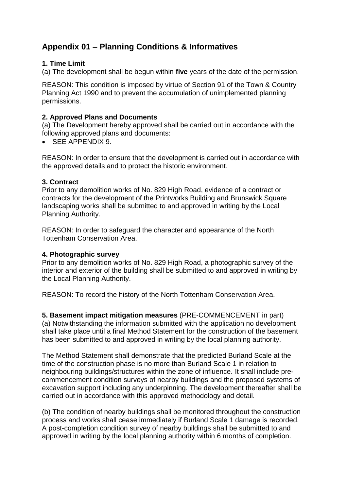# **Appendix 01 – Planning Conditions & Informatives**

### **1. Time Limit**

(a) The development shall be begun within **five** years of the date of the permission.

REASON: This condition is imposed by virtue of Section 91 of the Town & Country Planning Act 1990 and to prevent the accumulation of unimplemented planning permissions.

### **2. Approved Plans and Documents**

(a) The Development hereby approved shall be carried out in accordance with the following approved plans and documents:

SEE APPENDIX 9.

REASON: In order to ensure that the development is carried out in accordance with the approved details and to protect the historic environment.

#### **3. Contract**

Prior to any demolition works of No. 829 High Road, evidence of a contract or contracts for the development of the Printworks Building and Brunswick Square landscaping works shall be submitted to and approved in writing by the Local Planning Authority.

REASON: In order to safeguard the character and appearance of the North Tottenham Conservation Area.

#### **4. Photographic survey**

Prior to any demolition works of No. 829 High Road, a photographic survey of the interior and exterior of the building shall be submitted to and approved in writing by the Local Planning Authority.

REASON: To record the history of the North Tottenham Conservation Area.

**5. Basement impact mitigation measures** (PRE-COMMENCEMENT in part) (a) Notwithstanding the information submitted with the application no development shall take place until a final Method Statement for the construction of the basement has been submitted to and approved in writing by the local planning authority.

The Method Statement shall demonstrate that the predicted Burland Scale at the time of the construction phase is no more than Burland Scale 1 in relation to neighbouring buildings/structures within the zone of influence. It shall include precommencement condition surveys of nearby buildings and the proposed systems of excavation support including any underpinning. The development thereafter shall be carried out in accordance with this approved methodology and detail.

(b) The condition of nearby buildings shall be monitored throughout the construction process and works shall cease immediately if Burland Scale 1 damage is recorded. A post-completion condition survey of nearby buildings shall be submitted to and approved in writing by the local planning authority within 6 months of completion.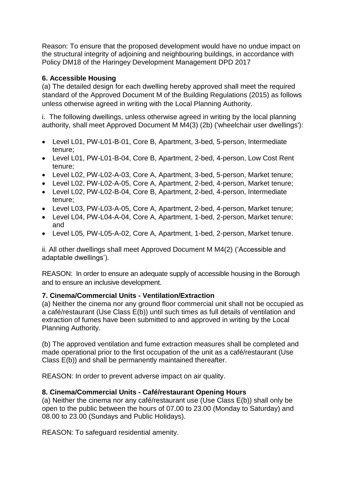Reason: To ensure that the proposed development would have no undue impact on the structural integrity of adjoining and neighbouring buildings, in accordance with Policy DM18 of the Haringey Development Management DPD 2017

# **6. Accessible Housing**

(a) The detailed design for each dwelling hereby approved shall meet the required standard of the Approved Document M of the Building Regulations (2015) as follows unless otherwise agreed in writing with the Local Planning Authority.

i. The following dwellings, unless otherwise agreed in writing by the local planning authority, shall meet Approved Document M M4(3) (2b) ('wheelchair user dwellings'):

- Level L01, PW-L01-B-01, Core B, Apartment, 3-bed, 5-person, Intermediate tenure;
- Level L01, PW-L01-B-04, Core B, Apartment, 2-bed, 4-person, Low Cost Rent tenure;
- Level L02, PW-L02-A-03, Core A, Apartment, 3-bed, 5-person, Market tenure;
- Level L02, PW-L02-A-05, Core A, Apartment, 2-bed, 4-person, Market tenure;
- Level L02, PW-L02-B-04, Core B, Apartment, 2-bed, 4-person, Intermediate tenure;
- Level L03, PW-L03-A-05, Core A, Apartment, 2-bed, 4-person, Market tenure;
- Level L04, PW-L04-A-04, Core A, Apartment, 1-bed, 2-person, Market tenure; and
- Level L05, PW-L05-A-02, Core A, Apartment, 1-bed, 2-person, Market tenure.

ii. All other dwellings shall meet Approved Document M M4(2) ('Accessible and adaptable dwellings').

REASON: In order to ensure an adequate supply of accessible housing in the Borough and to ensure an inclusive development.

# **7. Cinema/Commercial Units - Ventilation/Extraction**

(a) Neither the cinema nor any ground floor commercial unit shall not be occupied as a café/restaurant (Use Class E(b)) until such times as full details of ventilation and extraction of fumes have been submitted to and approved in writing by the Local Planning Authority.

(b) The approved ventilation and fume extraction measures shall be completed and made operational prior to the first occupation of the unit as a café/restaurant (Use Class E(b)) and shall be permanently maintained thereafter.

REASON: In order to prevent adverse impact on air quality.

# **8. Cinema/Commercial Units - Café/restaurant Opening Hours**

(a) Neither the cinema nor any café/restaurant use (Use Class E(b)) shall only be open to the public between the hours of 07.00 to 23.00 (Monday to Saturday) and 08.00 to 23.00 (Sundays and Public Holidays).

REASON: To safeguard residential amenity.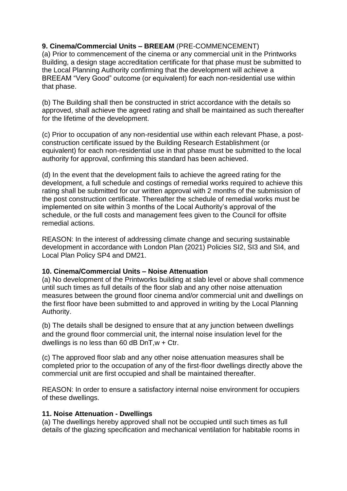# **9. Cinema/Commercial Units – BREEAM** (PRE-COMMENCEMENT)

(a) Prior to commencement of the cinema or any commercial unit in the Printworks Building, a design stage accreditation certificate for that phase must be submitted to the Local Planning Authority confirming that the development will achieve a BREEAM "Very Good" outcome (or equivalent) for each non-residential use within that phase.

(b) The Building shall then be constructed in strict accordance with the details so approved, shall achieve the agreed rating and shall be maintained as such thereafter for the lifetime of the development.

(c) Prior to occupation of any non-residential use within each relevant Phase, a postconstruction certificate issued by the Building Research Establishment (or equivalent) for each non-residential use in that phase must be submitted to the local authority for approval, confirming this standard has been achieved.

(d) In the event that the development fails to achieve the agreed rating for the development, a full schedule and costings of remedial works required to achieve this rating shall be submitted for our written approval with 2 months of the submission of the post construction certificate. Thereafter the schedule of remedial works must be implemented on site within 3 months of the Local Authority's approval of the schedule, or the full costs and management fees given to the Council for offsite remedial actions.

REASON: In the interest of addressing climate change and securing sustainable development in accordance with London Plan (2021) Policies SI2, SI3 and SI4, and Local Plan Policy SP4 and DM21.

#### **10. Cinema/Commercial Units – Noise Attenuation**

(a) No development of the Printworks building at slab level or above shall commence until such times as full details of the floor slab and any other noise attenuation measures between the ground floor cinema and/or commercial unit and dwellings on the first floor have been submitted to and approved in writing by the Local Planning Authority.

(b) The details shall be designed to ensure that at any junction between dwellings and the ground floor commercial unit, the internal noise insulation level for the dwellings is no less than 60 dB  $DnT$ ,  $w + Ctr$ .

(c) The approved floor slab and any other noise attenuation measures shall be completed prior to the occupation of any of the first-floor dwellings directly above the commercial unit are first occupied and shall be maintained thereafter.

REASON: In order to ensure a satisfactory internal noise environment for occupiers of these dwellings.

# **11. Noise Attenuation - Dwellings**

(a) The dwellings hereby approved shall not be occupied until such times as full details of the glazing specification and mechanical ventilation for habitable rooms in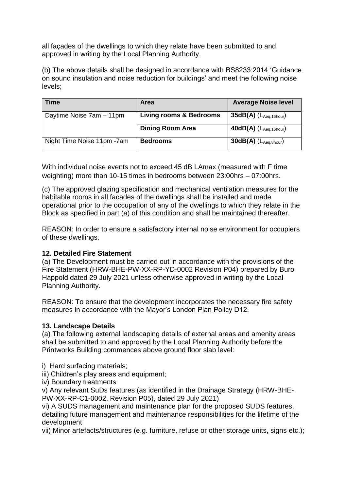all façades of the dwellings to which they relate have been submitted to and approved in writing by the Local Planning Authority.

(b) The above details shall be designed in accordance with BS8233:2014 'Guidance on sound insulation and noise reduction for buildings' and meet the following noise levels;

| Time                        | <b>Area</b>                        | <b>Average Noise level</b>     |
|-----------------------------|------------------------------------|--------------------------------|
| Daytime Noise 7am - 11pm    | <b>Living rooms &amp; Bedrooms</b> | $35dB(A)$ ( $L_{Aeq,16hour}$ ) |
|                             | <b>Dining Room Area</b>            | $40dB(A)$ $(L_{Aeq,16hour})$   |
| Night Time Noise 11pm - 7am | <b>Bedrooms</b>                    | $30dB(A)$ ( $L_{Aeq,8hour}$ )  |

With individual noise events not to exceed 45 dB LAmax (measured with F time weighting) more than 10-15 times in bedrooms between 23:00hrs – 07:00hrs.

(c) The approved glazing specification and mechanical ventilation measures for the habitable rooms in all facades of the dwellings shall be installed and made operational prior to the occupation of any of the dwellings to which they relate in the Block as specified in part (a) of this condition and shall be maintained thereafter.

REASON: In order to ensure a satisfactory internal noise environment for occupiers of these dwellings.

# **12. Detailed Fire Statement**

(a) The Development must be carried out in accordance with the provisions of the Fire Statement (HRW-BHE-PW-XX-RP-YD-0002 Revision P04) prepared by Buro Happold dated 29 July 2021 unless otherwise approved in writing by the Local Planning Authority.

REASON: To ensure that the development incorporates the necessary fire safety measures in accordance with the Mayor's London Plan Policy D12.

#### **13. Landscape Details**

(a) The following external landscaping details of external areas and amenity areas shall be submitted to and approved by the Local Planning Authority before the Printworks Building commences above ground floor slab level:

i) Hard surfacing materials;

iii) Children's play areas and equipment:

iv) Boundary treatments

v) Any relevant SuDs features (as identified in the Drainage Strategy (HRW-BHE-PW-XX-RP-C1-0002, Revision P05), dated 29 July 2021)

vi) A SUDS management and maintenance plan for the proposed SUDS features, detailing future management and maintenance responsibilities for the lifetime of the development

vii) Minor artefacts/structures (e.g. furniture, refuse or other storage units, signs etc.);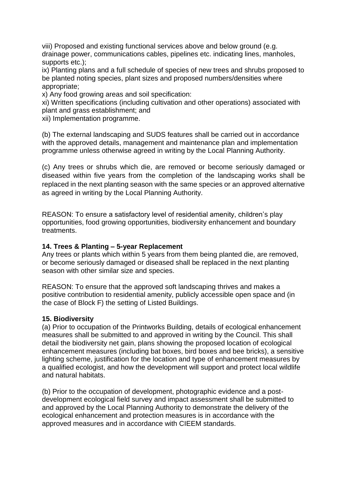viii) Proposed and existing functional services above and below ground (e.g. drainage power, communications cables, pipelines etc. indicating lines, manholes, supports etc.);

ix) Planting plans and a full schedule of species of new trees and shrubs proposed to be planted noting species, plant sizes and proposed numbers/densities where appropriate;

x) Any food growing areas and soil specification:

xi) Written specifications (including cultivation and other operations) associated with plant and grass establishment; and

xii) Implementation programme.

(b) The external landscaping and SUDS features shall be carried out in accordance with the approved details, management and maintenance plan and implementation programme unless otherwise agreed in writing by the Local Planning Authority.

(c) Any trees or shrubs which die, are removed or become seriously damaged or diseased within five years from the completion of the landscaping works shall be replaced in the next planting season with the same species or an approved alternative as agreed in writing by the Local Planning Authority.

REASON: To ensure a satisfactory level of residential amenity, children's play opportunities, food growing opportunities, biodiversity enhancement and boundary treatments.

#### **14. Trees & Planting – 5-year Replacement**

Any trees or plants which within 5 years from them being planted die, are removed, or become seriously damaged or diseased shall be replaced in the next planting season with other similar size and species.

REASON: To ensure that the approved soft landscaping thrives and makes a positive contribution to residential amenity, publicly accessible open space and (in the case of Block F) the setting of Listed Buildings.

#### **15. Biodiversity**

(a) Prior to occupation of the Printworks Building, details of ecological enhancement measures shall be submitted to and approved in writing by the Council. This shall detail the biodiversity net gain, plans showing the proposed location of ecological enhancement measures (including bat boxes, bird boxes and bee bricks), a sensitive lighting scheme, justification for the location and type of enhancement measures by a qualified ecologist, and how the development will support and protect local wildlife and natural habitats.

(b) Prior to the occupation of development, photographic evidence and a postdevelopment ecological field survey and impact assessment shall be submitted to and approved by the Local Planning Authority to demonstrate the delivery of the ecological enhancement and protection measures is in accordance with the approved measures and in accordance with CIEEM standards.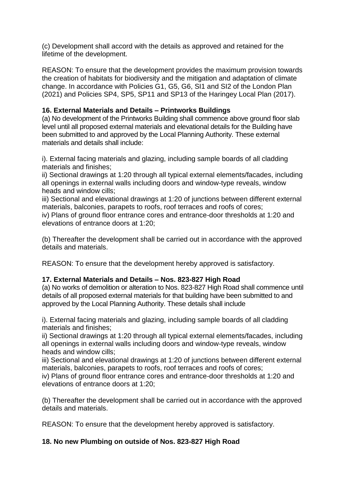(c) Development shall accord with the details as approved and retained for the lifetime of the development.

REASON: To ensure that the development provides the maximum provision towards the creation of habitats for biodiversity and the mitigation and adaptation of climate change. In accordance with Policies G1, G5, G6, SI1 and SI2 of the London Plan (2021) and Policies SP4, SP5, SP11 and SP13 of the Haringey Local Plan (2017).

### **16. External Materials and Details – Printworks Buildings**

(a) No development of the Printworks Building shall commence above ground floor slab level until all proposed external materials and elevational details for the Building have been submitted to and approved by the Local Planning Authority. These external materials and details shall include:

i). External facing materials and glazing, including sample boards of all cladding materials and finishes;

ii) Sectional drawings at 1:20 through all typical external elements/facades, including all openings in external walls including doors and window-type reveals, window heads and window cills;

iii) Sectional and elevational drawings at 1:20 of junctions between different external materials, balconies, parapets to roofs, roof terraces and roofs of cores;

iv) Plans of ground floor entrance cores and entrance-door thresholds at 1:20 and elevations of entrance doors at 1:20;

(b) Thereafter the development shall be carried out in accordance with the approved details and materials.

REASON: To ensure that the development hereby approved is satisfactory.

# **17. External Materials and Details – Nos. 823-827 High Road**

(a) No works of demolition or alteration to Nos. 823-827 High Road shall commence until details of all proposed external materials for that building have been submitted to and approved by the Local Planning Authority. These details shall include

i). External facing materials and glazing, including sample boards of all cladding materials and finishes;

ii) Sectional drawings at 1:20 through all typical external elements/facades, including all openings in external walls including doors and window-type reveals, window heads and window cills;

iii) Sectional and elevational drawings at 1:20 of junctions between different external materials, balconies, parapets to roofs, roof terraces and roofs of cores;

iv) Plans of ground floor entrance cores and entrance-door thresholds at 1:20 and elevations of entrance doors at 1:20;

(b) Thereafter the development shall be carried out in accordance with the approved details and materials.

REASON: To ensure that the development hereby approved is satisfactory.

# **18. No new Plumbing on outside of Nos. 823-827 High Road**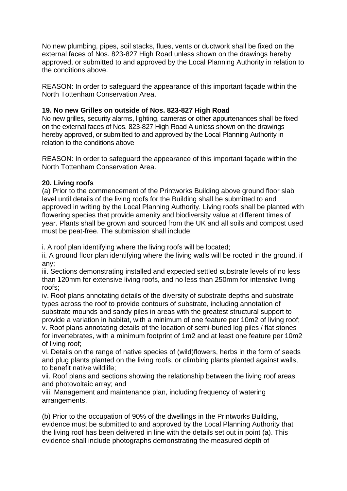No new plumbing, pipes, soil stacks, flues, vents or ductwork shall be fixed on the external faces of Nos. 823-827 High Road unless shown on the drawings hereby approved, or submitted to and approved by the Local Planning Authority in relation to the conditions above.

REASON: In order to safeguard the appearance of this important façade within the North Tottenham Conservation Area.

### **19. No new Grilles on outside of Nos. 823-827 High Road**

No new grilles, security alarms, lighting, cameras or other appurtenances shall be fixed on the external faces of Nos. 823-827 High Road A unless shown on the drawings hereby approved, or submitted to and approved by the Local Planning Authority in relation to the conditions above

REASON: In order to safeguard the appearance of this important façade within the North Tottenham Conservation Area.

### **20. Living roofs**

(a) Prior to the commencement of the Printworks Building above ground floor slab level until details of the living roofs for the Building shall be submitted to and approved in writing by the Local Planning Authority. Living roofs shall be planted with flowering species that provide amenity and biodiversity value at different times of year. Plants shall be grown and sourced from the UK and all soils and compost used must be peat-free. The submission shall include:

i. A roof plan identifying where the living roofs will be located;

ii. A ground floor plan identifying where the living walls will be rooted in the ground, if any;

iii. Sections demonstrating installed and expected settled substrate levels of no less than 120mm for extensive living roofs, and no less than 250mm for intensive living roofs;

iv. Roof plans annotating details of the diversity of substrate depths and substrate types across the roof to provide contours of substrate, including annotation of substrate mounds and sandy piles in areas with the greatest structural support to provide a variation in habitat, with a minimum of one feature per 10m2 of living roof;

v. Roof plans annotating details of the location of semi-buried log piles / flat stones for invertebrates, with a minimum footprint of 1m2 and at least one feature per 10m2 of living roof;

vi. Details on the range of native species of (wild)flowers, herbs in the form of seeds and plug plants planted on the living roofs, or climbing plants planted against walls, to benefit native wildlife;

vii. Roof plans and sections showing the relationship between the living roof areas and photovoltaic array; and

viii. Management and maintenance plan, including frequency of watering arrangements.

(b) Prior to the occupation of 90% of the dwellings in the Printworks Building, evidence must be submitted to and approved by the Local Planning Authority that the living roof has been delivered in line with the details set out in point (a). This evidence shall include photographs demonstrating the measured depth of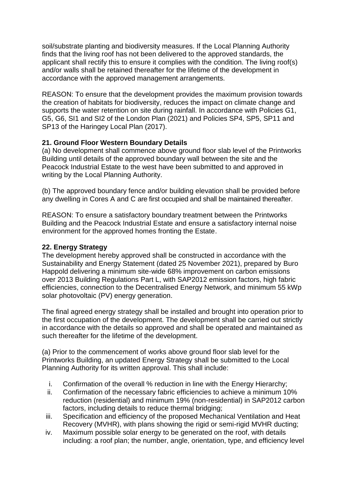soil/substrate planting and biodiversity measures. If the Local Planning Authority finds that the living roof has not been delivered to the approved standards, the applicant shall rectify this to ensure it complies with the condition. The living roof(s) and/or walls shall be retained thereafter for the lifetime of the development in accordance with the approved management arrangements.

REASON: To ensure that the development provides the maximum provision towards the creation of habitats for biodiversity, reduces the impact on climate change and supports the water retention on site during rainfall. In accordance with Policies G1, G5, G6, SI1 and SI2 of the London Plan (2021) and Policies SP4, SP5, SP11 and SP13 of the Haringey Local Plan (2017).

# **21. Ground Floor Western Boundary Details**

(a) No development shall commence above ground floor slab level of the Printworks Building until details of the approved boundary wall between the site and the Peacock Industrial Estate to the west have been submitted to and approved in writing by the Local Planning Authority.

(b) The approved boundary fence and/or building elevation shall be provided before any dwelling in Cores A and C are first occupied and shall be maintained thereafter.

REASON: To ensure a satisfactory boundary treatment between the Printworks Building and the Peacock Industrial Estate and ensure a satisfactory internal noise environment for the approved homes fronting the Estate.

### **22. Energy Strategy**

The development hereby approved shall be constructed in accordance with the Sustainability and Energy Statement (dated 25 November 2021), prepared by Buro Happold delivering a minimum site-wide 68% improvement on carbon emissions over 2013 Building Regulations Part L, with SAP2012 emission factors, high fabric efficiencies, connection to the Decentralised Energy Network, and minimum 55 kWp solar photovoltaic (PV) energy generation.

The final agreed energy strategy shall be installed and brought into operation prior to the first occupation of the development. The development shall be carried out strictly in accordance with the details so approved and shall be operated and maintained as such thereafter for the lifetime of the development.

(a) Prior to the commencement of works above ground floor slab level for the Printworks Building, an updated Energy Strategy shall be submitted to the Local Planning Authority for its written approval. This shall include:

- i. Confirmation of the overall % reduction in line with the Energy Hierarchy;
- ii. Confirmation of the necessary fabric efficiencies to achieve a minimum 10% reduction (residential) and minimum 19% (non-residential) in SAP2012 carbon factors, including details to reduce thermal bridging;
- iii. Specification and efficiency of the proposed Mechanical Ventilation and Heat Recovery (MVHR), with plans showing the rigid or semi-rigid MVHR ducting;
- iv. Maximum possible solar energy to be generated on the roof, with details including: a roof plan; the number, angle, orientation, type, and efficiency level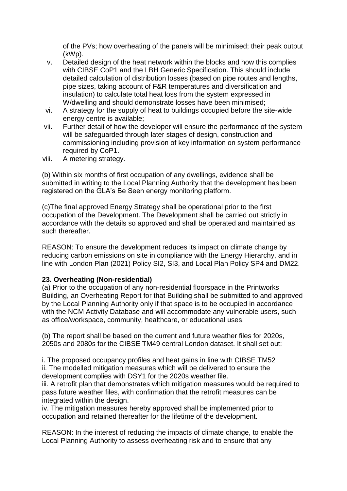of the PVs; how overheating of the panels will be minimised; their peak output (kWp).

- v. Detailed design of the heat network within the blocks and how this complies with CIBSE CoP1 and the LBH Generic Specification. This should include detailed calculation of distribution losses (based on pipe routes and lengths, pipe sizes, taking account of F&R temperatures and diversification and insulation) to calculate total heat loss from the system expressed in W/dwelling and should demonstrate losses have been minimised;
- vi. A strategy for the supply of heat to buildings occupied before the site-wide energy centre is available;
- vii. Further detail of how the developer will ensure the performance of the system will be safeguarded through later stages of design, construction and commissioning including provision of key information on system performance required by CoP1.
- viii. A metering strategy.

(b) Within six months of first occupation of any dwellings, evidence shall be submitted in writing to the Local Planning Authority that the development has been registered on the GLA's Be Seen energy monitoring platform.

(c)The final approved Energy Strategy shall be operational prior to the first occupation of the Development. The Development shall be carried out strictly in accordance with the details so approved and shall be operated and maintained as such thereafter.

REASON: To ensure the development reduces its impact on climate change by reducing carbon emissions on site in compliance with the Energy Hierarchy, and in line with London Plan (2021) Policy SI2, SI3, and Local Plan Policy SP4 and DM22.

#### **23. Overheating (Non-residential)**

(a) Prior to the occupation of any non-residential floorspace in the Printworks Building, an Overheating Report for that Building shall be submitted to and approved by the Local Planning Authority only if that space is to be occupied in accordance with the NCM Activity Database and will accommodate any vulnerable users, such as office/workspace, community, healthcare, or educational uses.

(b) The report shall be based on the current and future weather files for 2020s, 2050s and 2080s for the CIBSE TM49 central London dataset. It shall set out:

i. The proposed occupancy profiles and heat gains in line with CIBSE TM52 ii. The modelled mitigation measures which will be delivered to ensure the development complies with DSY1 for the 2020s weather file.

iii. A retrofit plan that demonstrates which mitigation measures would be required to pass future weather files, with confirmation that the retrofit measures can be integrated within the design.

iv. The mitigation measures hereby approved shall be implemented prior to occupation and retained thereafter for the lifetime of the development.

REASON: In the interest of reducing the impacts of climate change, to enable the Local Planning Authority to assess overheating risk and to ensure that any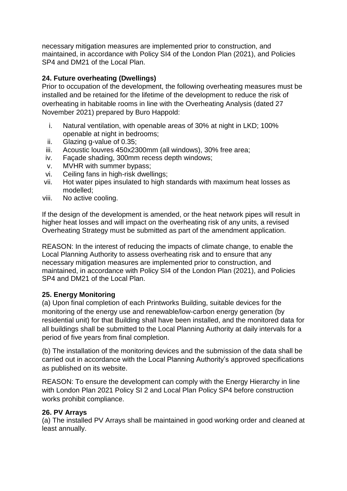necessary mitigation measures are implemented prior to construction, and maintained, in accordance with Policy SI4 of the London Plan (2021), and Policies SP4 and DM21 of the Local Plan.

# **24. Future overheating (Dwellings)**

Prior to occupation of the development, the following overheating measures must be installed and be retained for the lifetime of the development to reduce the risk of overheating in habitable rooms in line with the Overheating Analysis (dated 27 November 2021) prepared by Buro Happold:

- i. Natural ventilation, with openable areas of 30% at night in LKD; 100% openable at night in bedrooms;
- ii. Glazing g-value of 0.35;
- iii. Acoustic louvres 450x2300mm (all windows), 30% free area;
- iv. Façade shading, 300mm recess depth windows;
- v. MVHR with summer bypass;
- vi. Ceiling fans in high-risk dwellings;
- vii. Hot water pipes insulated to high standards with maximum heat losses as modelled;
- viii. No active cooling.

If the design of the development is amended, or the heat network pipes will result in higher heat losses and will impact on the overheating risk of any units, a revised Overheating Strategy must be submitted as part of the amendment application.

REASON: In the interest of reducing the impacts of climate change, to enable the Local Planning Authority to assess overheating risk and to ensure that any necessary mitigation measures are implemented prior to construction, and maintained, in accordance with Policy SI4 of the London Plan (2021), and Policies SP4 and DM21 of the Local Plan.

# **25. Energy Monitoring**

(a) Upon final completion of each Printworks Building, suitable devices for the monitoring of the energy use and renewable/low-carbon energy generation (by residential unit) for that Building shall have been installed, and the monitored data for all buildings shall be submitted to the Local Planning Authority at daily intervals for a period of five years from final completion.

(b) The installation of the monitoring devices and the submission of the data shall be carried out in accordance with the Local Planning Authority's approved specifications as published on its website.

REASON: To ensure the development can comply with the Energy Hierarchy in line with London Plan 2021 Policy SI 2 and Local Plan Policy SP4 before construction works prohibit compliance.

# **26. PV Arrays**

(a) The installed PV Arrays shall be maintained in good working order and cleaned at least annually.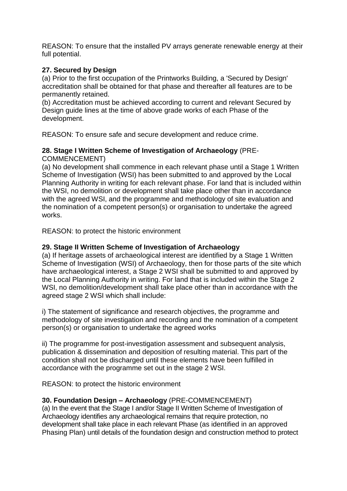REASON: To ensure that the installed PV arrays generate renewable energy at their full potential.

# **27. Secured by Design**

(a) Prior to the first occupation of the Printworks Building, a 'Secured by Design' accreditation shall be obtained for that phase and thereafter all features are to be permanently retained.

(b) Accreditation must be achieved according to current and relevant Secured by Design guide lines at the time of above grade works of each Phase of the development.

REASON: To ensure safe and secure development and reduce crime.

#### **28. Stage I Written Scheme of Investigation of Archaeology** (PRE-COMMENCEMENT)

(a) No development shall commence in each relevant phase until a Stage 1 Written Scheme of Investigation (WSI) has been submitted to and approved by the Local Planning Authority in writing for each relevant phase. For land that is included within the WSI, no demolition or development shall take place other than in accordance with the agreed WSI, and the programme and methodology of site evaluation and the nomination of a competent person(s) or organisation to undertake the agreed works.

REASON: to protect the historic environment

### **29. Stage II Written Scheme of Investigation of Archaeology**

(a) If heritage assets of archaeological interest are identified by a Stage 1 Written Scheme of Investigation (WSI) of Archaeology, then for those parts of the site which have archaeological interest, a Stage 2 WSI shall be submitted to and approved by the Local Planning Authority in writing. For land that is included within the Stage 2 WSI, no demolition/development shall take place other than in accordance with the agreed stage 2 WSI which shall include:

i) The statement of significance and research objectives, the programme and methodology of site investigation and recording and the nomination of a competent person(s) or organisation to undertake the agreed works

ii) The programme for post-investigation assessment and subsequent analysis, publication & dissemination and deposition of resulting material. This part of the condition shall not be discharged until these elements have been fulfilled in accordance with the programme set out in the stage 2 WSI.

REASON: to protect the historic environment

#### **30. Foundation Design – Archaeology** (PRE-COMMENCEMENT)

(a) In the event that the Stage I and/or Stage II Written Scheme of Investigation of Archaeology identifies any archaeological remains that require protection, no development shall take place in each relevant Phase (as identified in an approved Phasing Plan) until details of the foundation design and construction method to protect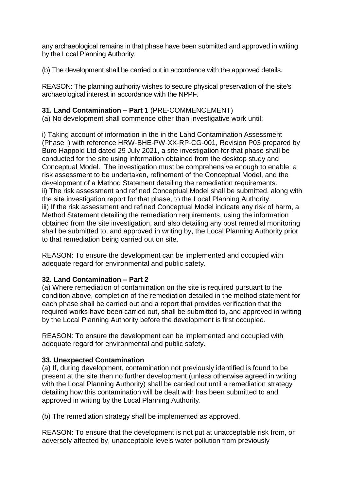any archaeological remains in that phase have been submitted and approved in writing by the Local Planning Authority.

(b) The development shall be carried out in accordance with the approved details.

REASON: The planning authority wishes to secure physical preservation of the site's archaeological interest in accordance with the NPPF.

# **31. Land Contamination – Part 1** (PRE-COMMENCEMENT)

(a) No development shall commence other than investigative work until:

i) Taking account of information in the in the Land Contamination Assessment (Phase I) with reference HRW-BHE-PW-XX-RP-CG-001, Revision P03 prepared by Buro Happold Ltd dated 29 July 2021, a site investigation for that phase shall be conducted for the site using information obtained from the desktop study and Conceptual Model. The investigation must be comprehensive enough to enable: a risk assessment to be undertaken, refinement of the Conceptual Model, and the development of a Method Statement detailing the remediation requirements. ii) The risk assessment and refined Conceptual Model shall be submitted, along with the site investigation report for that phase, to the Local Planning Authority. iii) If the risk assessment and refined Conceptual Model indicate any risk of harm, a Method Statement detailing the remediation requirements, using the information obtained from the site investigation, and also detailing any post remedial monitoring shall be submitted to, and approved in writing by, the Local Planning Authority prior to that remediation being carried out on site.

REASON: To ensure the development can be implemented and occupied with adequate regard for environmental and public safety.

# **32. Land Contamination – Part 2**

(a) Where remediation of contamination on the site is required pursuant to the condition above, completion of the remediation detailed in the method statement for each phase shall be carried out and a report that provides verification that the required works have been carried out, shall be submitted to, and approved in writing by the Local Planning Authority before the development is first occupied.

REASON: To ensure the development can be implemented and occupied with adequate regard for environmental and public safety.

# **33. Unexpected Contamination**

(a) If, during development, contamination not previously identified is found to be present at the site then no further development (unless otherwise agreed in writing with the Local Planning Authority) shall be carried out until a remediation strategy detailing how this contamination will be dealt with has been submitted to and approved in writing by the Local Planning Authority.

(b) The remediation strategy shall be implemented as approved.

REASON: To ensure that the development is not put at unacceptable risk from, or adversely affected by, unacceptable levels water pollution from previously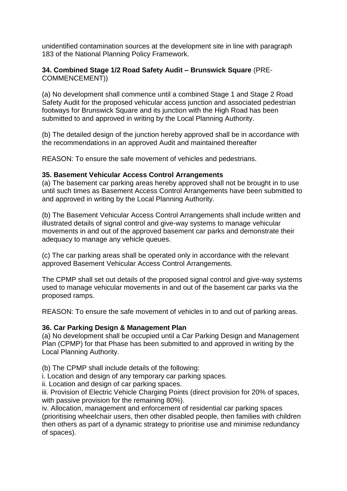unidentified contamination sources at the development site in line with paragraph 183 of the National Planning Policy Framework.

### **34. Combined Stage 1/2 Road Safety Audit – Brunswick Square** (PRE-COMMENCEMENT))

(a) No development shall commence until a combined Stage 1 and Stage 2 Road Safety Audit for the proposed vehicular access junction and associated pedestrian footways for Brunswick Square and its junction with the High Road has been submitted to and approved in writing by the Local Planning Authority.

(b) The detailed design of the junction hereby approved shall be in accordance with the recommendations in an approved Audit and maintained thereafter

REASON: To ensure the safe movement of vehicles and pedestrians.

#### **35. Basement Vehicular Access Control Arrangements**

(a) The basement car parking areas hereby approved shall not be brought in to use until such times as Basement Access Control Arrangements have been submitted to and approved in writing by the Local Planning Authority.

(b) The Basement Vehicular Access Control Arrangements shall include written and illustrated details of signal control and give-way systems to manage vehicular movements in and out of the approved basement car parks and demonstrate their adequacy to manage any vehicle queues.

(c) The car parking areas shall be operated only in accordance with the relevant approved Basement Vehicular Access Control Arrangements.

The CPMP shall set out details of the proposed signal control and give-way systems used to manage vehicular movements in and out of the basement car parks via the proposed ramps.

REASON: To ensure the safe movement of vehicles in to and out of parking areas.

#### **36. Car Parking Design & Management Plan**

(a) No development shall be occupied until a Car Parking Design and Management Plan (CPMP) for that Phase has been submitted to and approved in writing by the Local Planning Authority.

(b) The CPMP shall include details of the following:

i. Location and design of any temporary car parking spaces.

ii. Location and design of car parking spaces.

iii. Provision of Electric Vehicle Charging Points (direct provision for 20% of spaces, with passive provision for the remaining 80%).

iv. Allocation, management and enforcement of residential car parking spaces (prioritising wheelchair users, then other disabled people, then families with children then others as part of a dynamic strategy to prioritise use and minimise redundancy of spaces).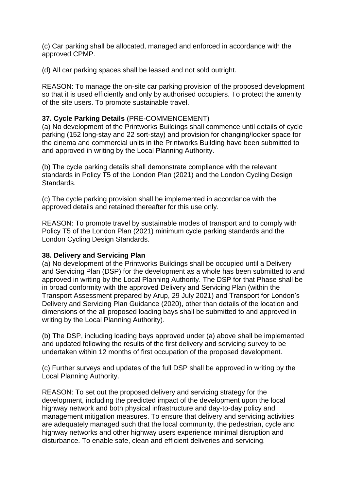(c) Car parking shall be allocated, managed and enforced in accordance with the approved CPMP.

(d) All car parking spaces shall be leased and not sold outright.

REASON: To manage the on-site car parking provision of the proposed development so that it is used efficiently and only by authorised occupiers. To protect the amenity of the site users. To promote sustainable travel.

### **37. Cycle Parking Details** (PRE-COMMENCEMENT)

(a) No development of the Printworks Buildings shall commence until details of cycle parking (152 long-stay and 22 sort-stay) and provision for changing/locker space for the cinema and commercial units in the Printworks Building have been submitted to and approved in writing by the Local Planning Authority.

(b) The cycle parking details shall demonstrate compliance with the relevant standards in Policy T5 of the London Plan (2021) and the London Cycling Design Standards.

(c) The cycle parking provision shall be implemented in accordance with the approved details and retained thereafter for this use only.

REASON: To promote travel by sustainable modes of transport and to comply with Policy T5 of the London Plan (2021) minimum cycle parking standards and the London Cycling Design Standards.

#### **38. Delivery and Servicing Plan**

(a) No development of the Printworks Buildings shall be occupied until a Delivery and Servicing Plan (DSP) for the development as a whole has been submitted to and approved in writing by the Local Planning Authority. The DSP for that Phase shall be in broad conformity with the approved Delivery and Servicing Plan (within the Transport Assessment prepared by Arup, 29 July 2021) and Transport for London's Delivery and Servicing Plan Guidance (2020), other than details of the location and dimensions of the all proposed loading bays shall be submitted to and approved in writing by the Local Planning Authority).

(b) The DSP, including loading bays approved under (a) above shall be implemented and updated following the results of the first delivery and servicing survey to be undertaken within 12 months of first occupation of the proposed development.

(c) Further surveys and updates of the full DSP shall be approved in writing by the Local Planning Authority.

REASON: To set out the proposed delivery and servicing strategy for the development, including the predicted impact of the development upon the local highway network and both physical infrastructure and day-to-day policy and management mitigation measures. To ensure that delivery and servicing activities are adequately managed such that the local community, the pedestrian, cycle and highway networks and other highway users experience minimal disruption and disturbance. To enable safe, clean and efficient deliveries and servicing.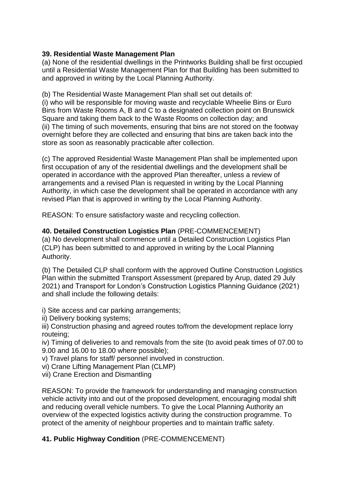### **39. Residential Waste Management Plan**

(a) None of the residential dwellings in the Printworks Building shall be first occupied until a Residential Waste Management Plan for that Building has been submitted to and approved in writing by the Local Planning Authority.

(b) The Residential Waste Management Plan shall set out details of: (i) who will be responsible for moving waste and recyclable Wheelie Bins or Euro Bins from Waste Rooms A, B and C to a designated collection point on Brunswick Square and taking them back to the Waste Rooms on collection day; and (ii) The timing of such movements, ensuring that bins are not stored on the footway overnight before they are collected and ensuring that bins are taken back into the store as soon as reasonably practicable after collection.

(c) The approved Residential Waste Management Plan shall be implemented upon first occupation of any of the residential dwellings and the development shall be operated in accordance with the approved Plan thereafter, unless a review of arrangements and a revised Plan is requested in writing by the Local Planning Authority, in which case the development shall be operated in accordance with any revised Plan that is approved in writing by the Local Planning Authority.

REASON: To ensure satisfactory waste and recycling collection.

**40. Detailed Construction Logistics Plan** (PRE-COMMENCEMENT)

(a) No development shall commence until a Detailed Construction Logistics Plan (CLP) has been submitted to and approved in writing by the Local Planning Authority.

(b) The Detailed CLP shall conform with the approved Outline Construction Logistics Plan within the submitted Transport Assessment (prepared by Arup, dated 29 July 2021) and Transport for London's Construction Logistics Planning Guidance (2021) and shall include the following details:

i) Site access and car parking arrangements;

ii) Delivery booking systems;

iii) Construction phasing and agreed routes to/from the development replace lorry routeing;

iv) Timing of deliveries to and removals from the site (to avoid peak times of 07.00 to 9.00 and 16.00 to 18.00 where possible);

- v) Travel plans for staff/ personnel involved in construction.
- vi) Crane Lifting Management Plan (CLMP)
- vii) Crane Erection and Dismantling

REASON: To provide the framework for understanding and managing construction vehicle activity into and out of the proposed development, encouraging modal shift and reducing overall vehicle numbers. To give the Local Planning Authority an overview of the expected logistics activity during the construction programme. To protect of the amenity of neighbour properties and to maintain traffic safety.

# **41. Public Highway Condition** (PRE-COMMENCEMENT)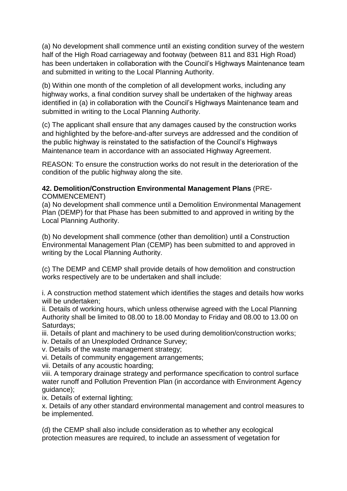(a) No development shall commence until an existing condition survey of the western half of the High Road carriageway and footway (between 811 and 831 High Road) has been undertaken in collaboration with the Council's Highways Maintenance team and submitted in writing to the Local Planning Authority.

(b) Within one month of the completion of all development works, including any highway works, a final condition survey shall be undertaken of the highway areas identified in (a) in collaboration with the Council's Highways Maintenance team and submitted in writing to the Local Planning Authority.

(c) The applicant shall ensure that any damages caused by the construction works and highlighted by the before-and-after surveys are addressed and the condition of the public highway is reinstated to the satisfaction of the Council's Highways Maintenance team in accordance with an associated Highway Agreement.

REASON: To ensure the construction works do not result in the deterioration of the condition of the public highway along the site.

### **42. Demolition/Construction Environmental Management Plans** (PRE-COMMENCEMENT)

(a) No development shall commence until a Demolition Environmental Management Plan (DEMP) for that Phase has been submitted to and approved in writing by the Local Planning Authority.

(b) No development shall commence (other than demolition) until a Construction Environmental Management Plan (CEMP) has been submitted to and approved in writing by the Local Planning Authority.

(c) The DEMP and CEMP shall provide details of how demolition and construction works respectively are to be undertaken and shall include:

i. A construction method statement which identifies the stages and details how works will be undertaken:

ii. Details of working hours, which unless otherwise agreed with the Local Planning Authority shall be limited to 08.00 to 18.00 Monday to Friday and 08.00 to 13.00 on Saturdays;

iii. Details of plant and machinery to be used during demolition/construction works;

iv. Details of an Unexploded Ordnance Survey;

v. Details of the waste management strategy;

vi. Details of community engagement arrangements;

vii. Details of any acoustic hoarding;

viii. A temporary drainage strategy and performance specification to control surface water runoff and Pollution Prevention Plan (in accordance with Environment Agency guidance);

ix. Details of external lighting;

x. Details of any other standard environmental management and control measures to be implemented.

(d) the CEMP shall also include consideration as to whether any ecological protection measures are required, to include an assessment of vegetation for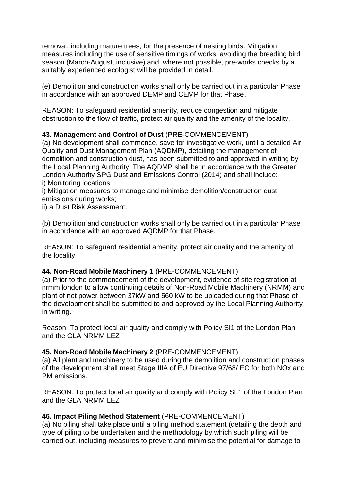removal, including mature trees, for the presence of nesting birds. Mitigation measures including the use of sensitive timings of works, avoiding the breeding bird season (March-August, inclusive) and, where not possible, pre-works checks by a suitably experienced ecologist will be provided in detail.

(e) Demolition and construction works shall only be carried out in a particular Phase in accordance with an approved DEMP and CEMP for that Phase.

REASON: To safeguard residential amenity, reduce congestion and mitigate obstruction to the flow of traffic, protect air quality and the amenity of the locality.

# **43. Management and Control of Dust** (PRE-COMMENCEMENT)

(a) No development shall commence, save for investigative work, until a detailed Air Quality and Dust Management Plan (AQDMP), detailing the management of demolition and construction dust, has been submitted to and approved in writing by the Local Planning Authority. The AQDMP shall be in accordance with the Greater London Authority SPG Dust and Emissions Control (2014) and shall include: i) Monitoring locations

i) Mitigation measures to manage and minimise demolition/construction dust emissions during works;

ii) a Dust Risk Assessment.

(b) Demolition and construction works shall only be carried out in a particular Phase in accordance with an approved AQDMP for that Phase.

REASON: To safeguard residential amenity, protect air quality and the amenity of the locality.

# **44. Non-Road Mobile Machinery 1** (PRE-COMMENCEMENT)

(a) Prior to the commencement of the development, evidence of site registration at nrmm.london to allow continuing details of Non-Road Mobile Machinery (NRMM) and plant of net power between 37kW and 560 kW to be uploaded during that Phase of the development shall be submitted to and approved by the Local Planning Authority in writing.

Reason: To protect local air quality and comply with Policy SI1 of the London Plan and the GLA NRMM LEZ

# **45. Non-Road Mobile Machinery 2** (PRE-COMMENCEMENT)

(a) All plant and machinery to be used during the demolition and construction phases of the development shall meet Stage IIIA of EU Directive 97/68/ EC for both NOx and PM emissions.

REASON: To protect local air quality and comply with Policy SI 1 of the London Plan and the GLA NRMM LEZ

# **46. Impact Piling Method Statement** (PRE-COMMENCEMENT)

(a) No piling shall take place until a piling method statement (detailing the depth and type of piling to be undertaken and the methodology by which such piling will be carried out, including measures to prevent and minimise the potential for damage to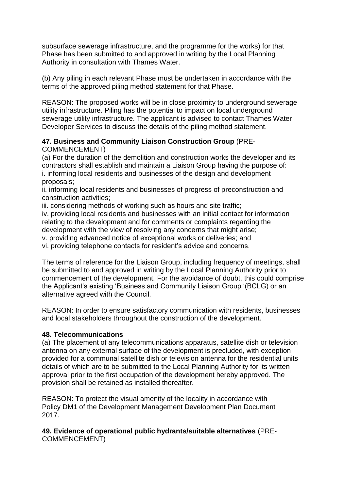subsurface sewerage infrastructure, and the programme for the works) for that Phase has been submitted to and approved in writing by the Local Planning Authority in consultation with Thames Water.

(b) Any piling in each relevant Phase must be undertaken in accordance with the terms of the approved piling method statement for that Phase.

REASON: The proposed works will be in close proximity to underground sewerage utility infrastructure. Piling has the potential to impact on local underground sewerage utility infrastructure. The applicant is advised to contact Thames Water Developer Services to discuss the details of the piling method statement.

#### **47. Business and Community Liaison Construction Group** (PRE-COMMENCEMENT)

(a) For the duration of the demolition and construction works the developer and its contractors shall establish and maintain a Liaison Group having the purpose of: i. informing local residents and businesses of the design and development proposals;

ii. informing local residents and businesses of progress of preconstruction and construction activities;

iii. considering methods of working such as hours and site traffic;

iv. providing local residents and businesses with an initial contact for information relating to the development and for comments or complaints regarding the development with the view of resolving any concerns that might arise;

v. providing advanced notice of exceptional works or deliveries; and

vi. providing telephone contacts for resident's advice and concerns.

The terms of reference for the Liaison Group, including frequency of meetings, shall be submitted to and approved in writing by the Local Planning Authority prior to commencement of the development. For the avoidance of doubt, this could comprise the Applicant's existing 'Business and Community Liaison Group '(BCLG) or an alternative agreed with the Council.

REASON: In order to ensure satisfactory communication with residents, businesses and local stakeholders throughout the construction of the development.

#### **48. Telecommunications**

(a) The placement of any telecommunications apparatus, satellite dish or television antenna on any external surface of the development is precluded, with exception provided for a communal satellite dish or television antenna for the residential units details of which are to be submitted to the Local Planning Authority for its written approval prior to the first occupation of the development hereby approved. The provision shall be retained as installed thereafter.

REASON: To protect the visual amenity of the locality in accordance with Policy DM1 of the Development Management Development Plan Document 2017.

### **49. Evidence of operational public hydrants/suitable alternatives** (PRE-COMMENCEMENT)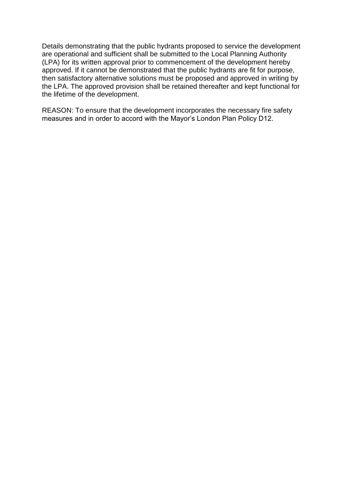Details demonstrating that the public hydrants proposed to service the development are operational and sufficient shall be submitted to the Local Planning Authority (LPA) for its written approval prior to commencement of the development hereby approved. If it cannot be demonstrated that the public hydrants are fit for purpose, then satisfactory alternative solutions must be proposed and approved in writing by the LPA. The approved provision shall be retained thereafter and kept functional for the lifetime of the development.

REASON: To ensure that the development incorporates the necessary fire safety measures and in order to accord with the Mayor's London Plan Policy D12.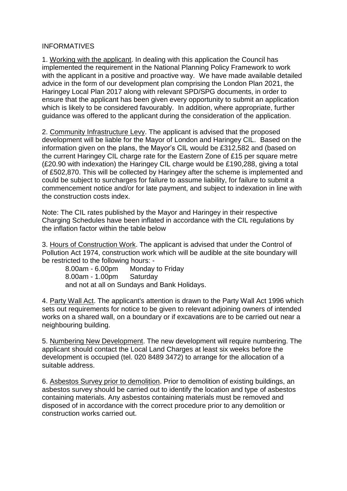### INFORMATIVES

1. Working with the applicant. In dealing with this application the Council has implemented the requirement in the National Planning Policy Framework to work with the applicant in a positive and proactive way. We have made available detailed advice in the form of our development plan comprising the London Plan 2021, the Haringey Local Plan 2017 along with relevant SPD/SPG documents, in order to ensure that the applicant has been given every opportunity to submit an application which is likely to be considered favourably. In addition, where appropriate, further guidance was offered to the applicant during the consideration of the application.

2. Community Infrastructure Levy. The applicant is advised that the proposed development will be liable for the Mayor of London and Haringey CIL. Based on the information given on the plans, the Mayor's CIL would be £312,582 and (based on the current Haringey CIL charge rate for the Eastern Zone of £15 per square metre (£20.90 with indexation) the Haringey CIL charge would be £190,288, giving a total of £502,870. This will be collected by Haringey after the scheme is implemented and could be subject to surcharges for failure to assume liability, for failure to submit a commencement notice and/or for late payment, and subject to indexation in line with the construction costs index.

Note: The CIL rates published by the Mayor and Haringey in their respective Charging Schedules have been inflated in accordance with the CIL regulations by the inflation factor within the table below

3. Hours of Construction Work. The applicant is advised that under the Control of Pollution Act 1974, construction work which will be audible at the site boundary will be restricted to the following hours: -

 8.00am - 6.00pm Monday to Friday 8.00am - 1.00pm Saturday and not at all on Sundays and Bank Holidays.

4. Party Wall Act. The applicant's attention is drawn to the Party Wall Act 1996 which sets out requirements for notice to be given to relevant adjoining owners of intended works on a shared wall, on a boundary or if excavations are to be carried out near a neighbouring building.

5. Numbering New Development. The new development will require numbering. The applicant should contact the Local Land Charges at least six weeks before the development is occupied (tel. 020 8489 3472) to arrange for the allocation of a suitable address.

6. Asbestos Survey prior to demolition. Prior to demolition of existing buildings, an asbestos survey should be carried out to identify the location and type of asbestos containing materials. Any asbestos containing materials must be removed and disposed of in accordance with the correct procedure prior to any demolition or construction works carried out.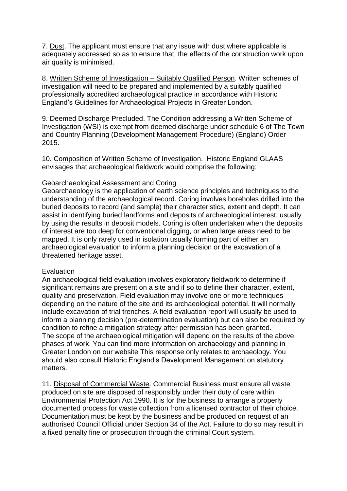7. Dust. The applicant must ensure that any issue with dust where applicable is adequately addressed so as to ensure that; the effects of the construction work upon air quality is minimised.

8. Written Scheme of Investigation – Suitably Qualified Person. Written schemes of investigation will need to be prepared and implemented by a suitably qualified professionally accredited archaeological practice in accordance with Historic England's Guidelines for Archaeological Projects in Greater London.

9. Deemed Discharge Precluded. The Condition addressing a Written Scheme of Investigation (WSI) is exempt from deemed discharge under schedule 6 of The Town and Country Planning (Development Management Procedure) (England) Order 2015.

10. Composition of Written Scheme of Investigation. Historic England GLAAS envisages that archaeological fieldwork would comprise the following:

#### Geoarchaeological Assessment and Coring

Geoarchaeology is the application of earth science principles and techniques to the understanding of the archaeological record. Coring involves boreholes drilled into the buried deposits to record (and sample) their characteristics, extent and depth. It can assist in identifying buried landforms and deposits of archaeological interest, usually by using the results in deposit models. Coring is often undertaken when the deposits of interest are too deep for conventional digging, or when large areas need to be mapped. It is only rarely used in isolation usually forming part of either an archaeological evaluation to inform a planning decision or the excavation of a threatened heritage asset.

#### **Evaluation**

An archaeological field evaluation involves exploratory fieldwork to determine if significant remains are present on a site and if so to define their character, extent, quality and preservation. Field evaluation may involve one or more techniques depending on the nature of the site and its archaeological potential. It will normally include excavation of trial trenches. A field evaluation report will usually be used to inform a planning decision (pre-determination evaluation) but can also be required by condition to refine a mitigation strategy after permission has been granted. The scope of the archaeological mitigation will depend on the results of the above phases of work. You can find more information on archaeology and planning in Greater London on our website This response only relates to archaeology. You should also consult Historic England's Development Management on statutory matters.

11. Disposal of Commercial Waste. Commercial Business must ensure all waste produced on site are disposed of responsibly under their duty of care within Environmental Protection Act 1990. It is for the business to arrange a properly documented process for waste collection from a licensed contractor of their choice. Documentation must be kept by the business and be produced on request of an authorised Council Official under Section 34 of the Act. Failure to do so may result in a fixed penalty fine or prosecution through the criminal Court system.